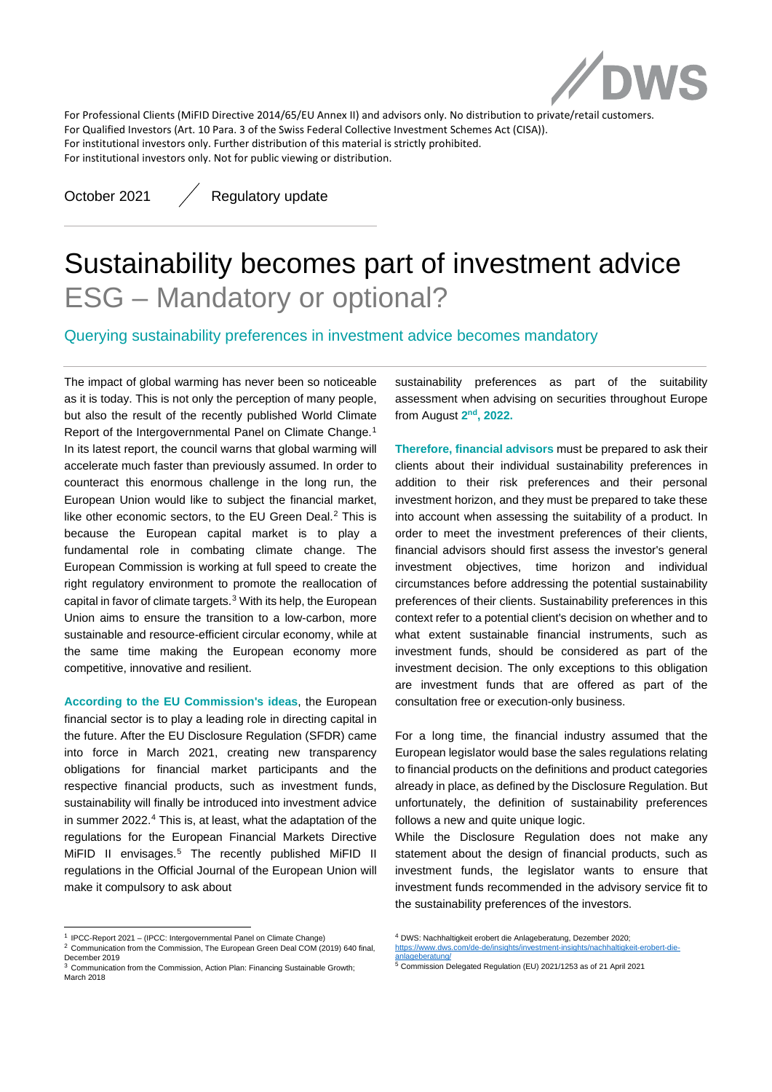

For Professional Clients (MiFID Directive 2014/65/EU Annex II) and advisors only. No distribution to private/retail customers. For Qualified Investors (Art. 10 Para. 3 of the Swiss Federal Collective Investment Schemes Act (CISA)). For institutional investors only. Further distribution of this material is strictly prohibited. For institutional investors only. Not for public viewing or distribution.

October 2021 / Regulatory update

# Sustainability becomes part of investment advice ESG – Mandatory or optional?

Querying sustainability preferences in investment advice becomes mandatory

The impact of global warming has never been so noticeable as it is today. This is not only the perception of many people, but also the result of the recently published World Climate Report of the Intergovernmental Panel on Climate Change.<sup>[1](#page-0-0)</sup> In its latest report, the council warns that global warming will accelerate much faster than previously assumed. In order to counteract this enormous challenge in the long run, the European Union would like to subject the financial market, like other economic sectors, to the EU Green Deal. [2](#page-0-1) This is because the European capital market is to play a fundamental role in combating climate change. The European Commission is working at full speed to create the right regulatory environment to promote the reallocation of capital in favor of climate targets. $3$  With its help, the European Union aims to ensure the transition to a low-carbon, more sustainable and resource-efficient circular economy, while at the same time making the European economy more competitive, innovative and resilient.

**According to the EU Commission's ideas**, the European financial sector is to play a leading role in directing capital in the future. After the EU Disclosure Regulation (SFDR) came into force in March 2021, creating new transparency obligations for financial market participants and the respective financial products, such as investment funds, sustainability will finally be introduced into investment advice in summer 2022.<sup>[4](#page-0-0)</sup> This is, at least, what the adaptation of the regulations for the European Financial Markets Directive MiFID II envisages. [5](#page-0-3) The recently published MiFID II regulations in the Official Journal of the European Union will make it compulsory to ask about

sustainability preferences as part of the suitability assessment when advising on securities throughout Europe from August **2nd, 2022.**

**Therefore, financial advisors** must be prepared to ask their clients about their individual sustainability preferences in addition to their risk preferences and their personal investment horizon, and they must be prepared to take these into account when assessing the suitability of a product. In order to meet the investment preferences of their clients, financial advisors should first assess the investor's general investment objectives, time horizon and individual circumstances before addressing the potential sustainability preferences of their clients. Sustainability preferences in this context refer to a potential client's decision on whether and to what extent sustainable financial instruments, such as investment funds, should be considered as part of the investment decision. The only exceptions to this obligation are investment funds that are offered as part of the consultation free or execution-only business.

For a long time, the financial industry assumed that the European legislator would base the sales regulations relating to financial products on the definitions and product categories already in place, as defined by the Disclosure Regulation. But unfortunately, the definition of sustainability preferences follows a new and quite unique logic.

While the Disclosure Regulation does not make any statement about the design of financial products, such as investment funds, the legislator wants to ensure that investment funds recommended in the advisory service fit to the sustainability preferences of the investors.

<span id="page-0-0"></span><sup>1</sup> IPCC-Report 2021 – (IPCC: Intergovernmental Panel on Climate Change)

<span id="page-0-1"></span><sup>&</sup>lt;sup>2</sup> Communication from the Commission, The European Green Deal COM (2019) 640 final, December 2019

<span id="page-0-3"></span><span id="page-0-2"></span><sup>&</sup>lt;sup>3</sup> Communication from the Commission, Action Plan: Financing Sustainable Growth; March 2018

<sup>4</sup> DWS: Nachhaltigkeit erobert die Anlageberatung, Dezember 2020; [https://www.dws.com/de-de/insights/investment-insights/nachhaltigkeit-erobert-die-](https://www.dws.com/de-de/insights/investment-insights/nachhaltigkeit-erobert-die-anlageberatung/)

[anlageberatung/](https://www.dws.com/de-de/insights/investment-insights/nachhaltigkeit-erobert-die-anlageberatung/) <sup>5</sup> Commission Delegated Regulation (EU) 2021/1253 as of 21 April 2021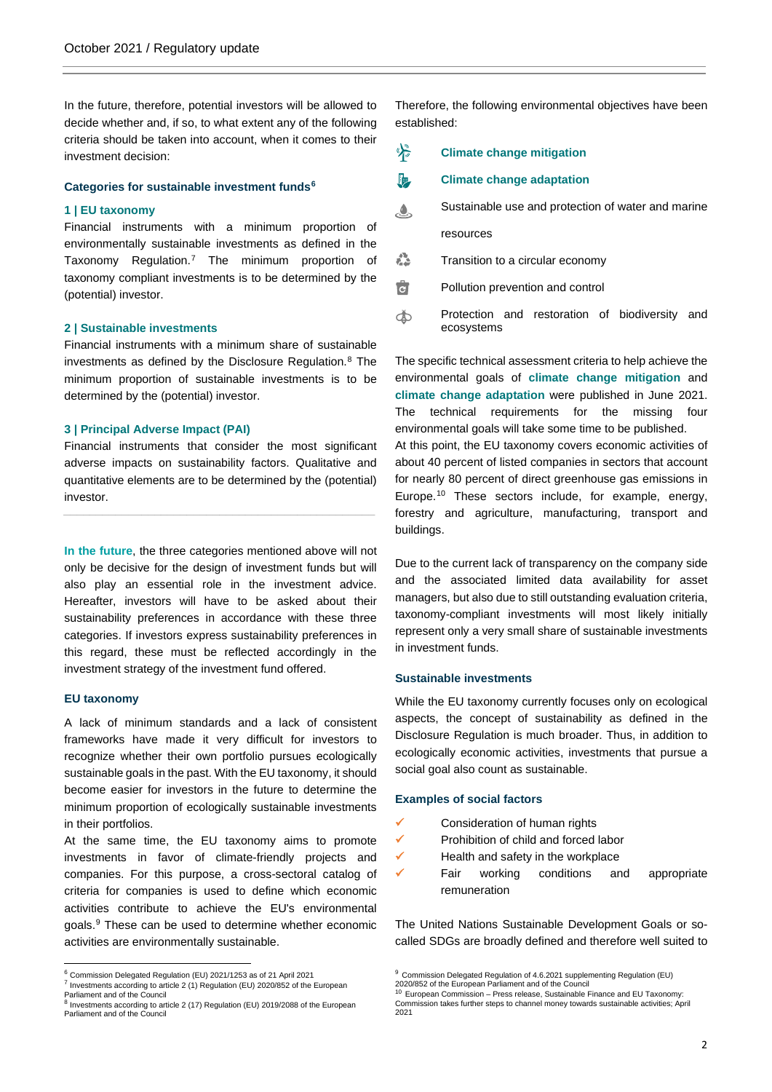In the future, therefore, potential investors will be allowed to decide whether and, if so, to what extent any of the following criteria should be taken into account, when it comes to their investment decision:

## **Categories for sustainable investment funds[6](#page-1-0)**

# **1 | EU taxonomy**

Financial instruments with a minimum proportion of environmentally sustainable investments as defined in the Taxonomy Regulation[.7](#page-1-1) The minimum proportion of taxonomy compliant investments is to be determined by the (potential) investor.

# **2 | Sustainable investments**

Financial instruments with a minimum share of sustainable investments as defined by the Disclosure Regulation. $8$  The minimum proportion of sustainable investments is to be determined by the (potential) investor.

# **3 | Principal Adverse Impact (PAI)**

Financial instruments that consider the most significant adverse impacts on sustainability factors. Qualitative and quantitative elements are to be determined by the (potential) investor.

*\_\_\_\_\_\_\_\_\_\_\_\_\_\_\_\_\_\_\_\_\_\_\_\_\_\_\_\_\_\_\_\_\_\_\_\_\_\_\_\_\_\_\_\_\_\_\_\_*

**In the future**, the three categories mentioned above will not only be decisive for the design of investment funds but will also play an essential role in the investment advice. Hereafter, investors will have to be asked about their sustainability preferences in accordance with these three categories. If investors express sustainability preferences in this regard, these must be reflected accordingly in the investment strategy of the investment fund offered.

### **EU taxonomy**

A lack of minimum standards and a lack of consistent frameworks have made it very difficult for investors to recognize whether their own portfolio pursues ecologically sustainable goals in the past. With the EU taxonomy, it should become easier for investors in the future to determine the minimum proportion of ecologically sustainable investments in their portfolios.

At the same time, the EU taxonomy aims to promote investments in favor of climate-friendly projects and companies. For this purpose, a cross-sectoral catalog of criteria for companies is used to define which economic activities contribute to achieve the EU's environmental goals.[9](#page-1-0) These can be used to determine whether economic activities are environmentally sustainable.

Therefore, the following environmental objectives have been established:

#### $\frac{1}{2}$ **Climate change mitigation**

#### 喔 **Climate change adaptation**

- Sustainable use and protection of water and marine  $\mathbf{A}$ resources
- 叠 Transition to a circular economy
- वि Pollution prevention and control
- Protection and restoration of biodiversity and Ŏ ecosystems

The specific technical assessment criteria to help achieve the environmental goals of **climate change mitigation** and **climate change adaptation** were published in June 2021. The technical requirements for the missing four environmental goals will take some time to be published. At this point, the EU taxonomy covers economic activities of about 40 percent of listed companies in sectors that account for nearly 80 percent of direct greenhouse gas emissions in Europe.[10](#page-1-3) These sectors include, for example, energy, forestry and agriculture, manufacturing, transport and buildings.

Due to the current lack of transparency on the company side and the associated limited data availability for asset managers, but also due to still outstanding evaluation criteria, taxonomy-compliant investments will most likely initially represent only a very small share of sustainable investments in investment funds.

# **Sustainable investments**

While the EU taxonomy currently focuses only on ecological aspects, the concept of sustainability as defined in the Disclosure Regulation is much broader. Thus, in addition to ecologically economic activities, investments that pursue a social goal also count as sustainable.

# **Examples of social factors**

- Consideration of human rights
- $\checkmark$  Prohibition of child and forced labor
- $\checkmark$  Health and safety in the workplace
- $\checkmark$  Fair working conditions and appropriate remuneration

The United Nations Sustainable Development Goals or socalled SDGs are broadly defined and therefore well suited to

<span id="page-1-0"></span> $6$  Commission Delegated Regulation (EU) 2021/1253 as of 21 April 2021

<span id="page-1-1"></span><sup>7</sup> Investments according to article 2 (1) Regulation (EU) 2020/852 of the European Parliament and of the Council <sup>8</sup> Investments according to article 2 (17) Regulation (EU) 2019/2088 of the European

<span id="page-1-3"></span><span id="page-1-2"></span>Parliament and of the Council

<sup>9</sup> Commission Delegated Regulation of 4.6.2021 supplementing Regulation (EU) 2020/852 of the European Parliament and of the Council

<sup>10</sup> European Commission – Press release, Sustainable Finance and EU Taxonomy: Commission takes further steps to channel money towards sustainable activities; April 2021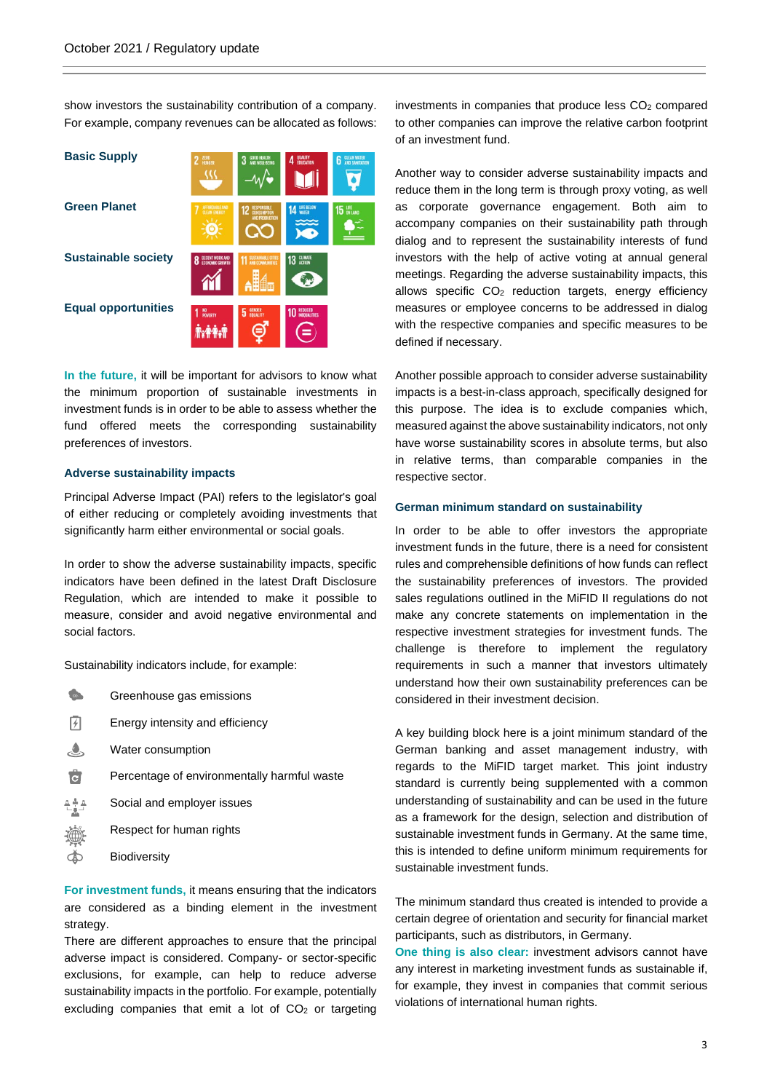show investors the sustainability contribution of a company. For example, company revenues can be allocated as follows:

| <b>Basic Supply</b>        | 2 ZERO<br>، (                                  | GOOD HEALTH<br>And Well-Being                       | QUALITY<br>EDUCATION<br>4 | <b>CLEAN WATER</b><br>6 |
|----------------------------|------------------------------------------------|-----------------------------------------------------|---------------------------|-------------------------|
| <b>Green Planet</b>        | AFFORDABLE AND<br>CLEAN ENERGY                 | <b>RESPONSIBLE</b><br>CONSUMPTION<br>AND PRODUCTION | <b>14 LIFE BELOW</b>      | 15 LIFE                 |
| <b>Sustainable society</b> | <b>DECENT WORK AND</b><br>Ω<br>FORNOMIC CROWTH | <b>SUSTAINABLE CITIES</b><br>AND COMMUNITIES        | 13 GLIMATE                |                         |
| <b>Equal opportunities</b> | 1 NO <sub>POVERTY</sub>                        | 5 ENDER                                             | <b>10 REDUCED</b><br>=    |                         |

**In the future,** it will be important for advisors to know what the minimum proportion of sustainable investments in investment funds is in order to be able to assess whether the fund offered meets the corresponding sustainability preferences of investors.

# **Adverse sustainability impacts**

Principal Adverse Impact (PAI) refers to the legislator's goal of either reducing or completely avoiding investments that significantly harm either environmental or social goals.

In order to show the adverse sustainability impacts, specific indicators have been defined in the latest Draft Disclosure Regulation, which are intended to make it possible to measure, consider and avoid negative environmental and social factors.

Sustainability indicators include, for example:

| CO <sub>2</sub> | Greenhouse gas emissions                    |
|-----------------|---------------------------------------------|
| l 4             | Energy intensity and efficiency             |
| ڻ               | Water consumption                           |
| Ġ               | Percentage of environmentally harmful waste |
| 전출조             | Social and employer issues                  |
|                 | Respect for human rights                    |
|                 | <b>Biodiversity</b>                         |

**For investment funds,** it means ensuring that the indicators are considered as a binding element in the investment strategy.

There are different approaches to ensure that the principal adverse impact is considered. Company- or sector-specific exclusions, for example, can help to reduce adverse sustainability impacts in the portfolio. For example, potentially excluding companies that emit a lot of  $CO<sub>2</sub>$  or targeting investments in companies that produce less  $CO<sub>2</sub>$  compared to other companies can improve the relative carbon footprint of an investment fund.

Another way to consider adverse sustainability impacts and reduce them in the long term is through proxy voting, as well as corporate governance engagement. Both aim to accompany companies on their sustainability path through dialog and to represent the sustainability interests of fund investors with the help of active voting at annual general meetings. Regarding the adverse sustainability impacts, this allows specific CO<sub>2</sub> reduction targets, energy efficiency measures or employee concerns to be addressed in dialog with the respective companies and specific measures to be defined if necessary.

Another possible approach to consider adverse sustainability impacts is a best-in-class approach, specifically designed for this purpose. The idea is to exclude companies which, measured against the above sustainability indicators, not only have worse sustainability scores in absolute terms, but also in relative terms, than comparable companies in the respective sector.

# **German minimum standard on sustainability**

In order to be able to offer investors the appropriate investment funds in the future, there is a need for consistent rules and comprehensible definitions of how funds can reflect the sustainability preferences of investors. The provided sales regulations outlined in the MiFID II regulations do not make any concrete statements on implementation in the respective investment strategies for investment funds. The challenge is therefore to implement the regulatory requirements in such a manner that investors ultimately understand how their own sustainability preferences can be considered in their investment decision.

A key building block here is a joint minimum standard of the German banking and asset management industry, with regards to the MiFID target market. This joint industry standard is currently being supplemented with a common understanding of sustainability and can be used in the future as a framework for the design, selection and distribution of sustainable investment funds in Germany. At the same time, this is intended to define uniform minimum requirements for sustainable investment funds.

The minimum standard thus created is intended to provide a certain degree of orientation and security for financial market participants, such as distributors, in Germany.

**One thing is also clear:** investment advisors cannot have any interest in marketing investment funds as sustainable if, for example, they invest in companies that commit serious violations of international human rights.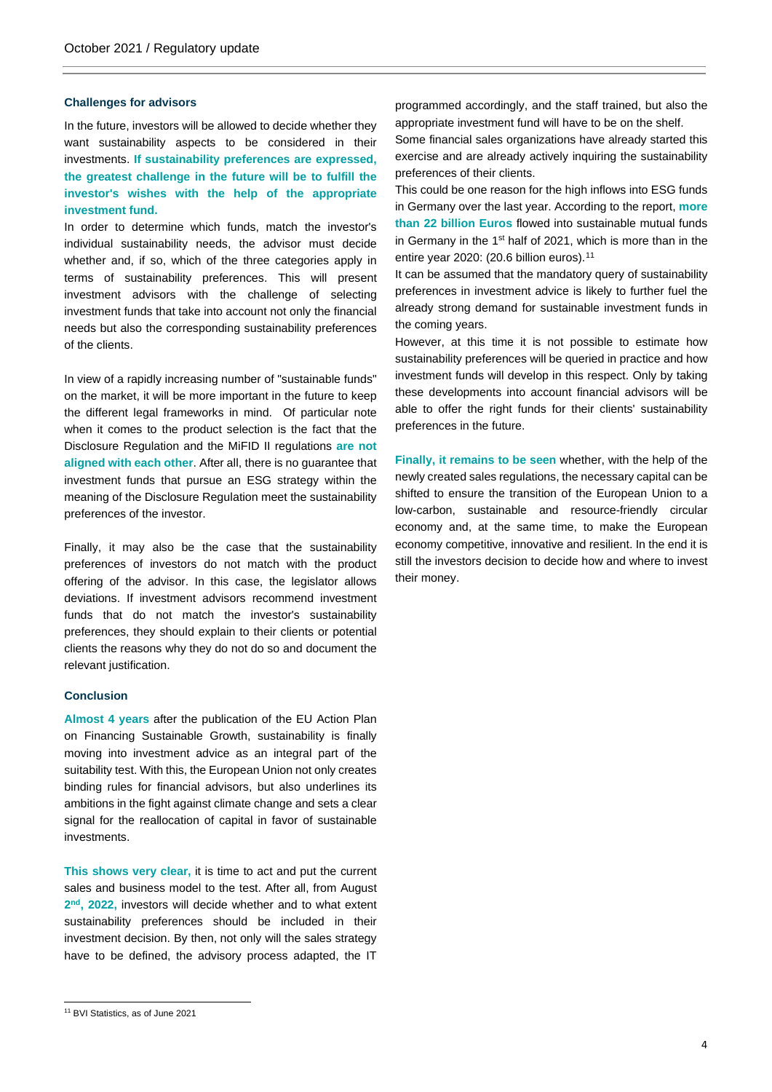# **Challenges for advisors**

In the future, investors will be allowed to decide whether they want sustainability aspects to be considered in their investments. **If sustainability preferences are expressed, the greatest challenge in the future will be to fulfill the investor's wishes with the help of the appropriate investment fund.**

In order to determine which funds, match the investor's individual sustainability needs, the advisor must decide whether and, if so, which of the three categories apply in terms of sustainability preferences. This will present investment advisors with the challenge of selecting investment funds that take into account not only the financial needs but also the corresponding sustainability preferences of the clients.

In view of a rapidly increasing number of "sustainable funds" on the market, it will be more important in the future to keep the different legal frameworks in mind. Of particular note when it comes to the product selection is the fact that the Disclosure Regulation and the MiFID II regulations **are not aligned with each other**. After all, there is no guarantee that investment funds that pursue an ESG strategy within the meaning of the Disclosure Regulation meet the sustainability preferences of the investor.

Finally, it may also be the case that the sustainability preferences of investors do not match with the product offering of the advisor. In this case, the legislator allows deviations. If investment advisors recommend investment funds that do not match the investor's sustainability preferences, they should explain to their clients or potential clients the reasons why they do not do so and document the relevant justification.

# **Conclusion**

**Almost 4 years** after the publication of the EU Action Plan on Financing Sustainable Growth, sustainability is finally moving into investment advice as an integral part of the suitability test. With this, the European Union not only creates binding rules for financial advisors, but also underlines its ambitions in the fight against climate change and sets a clear signal for the reallocation of capital in favor of sustainable investments.

**This shows very clear,** it is time to act and put the current sales and business model to the test. After all, from August **2nd, 2022,** investors will decide whether and to what extent sustainability preferences should be included in their investment decision. By then, not only will the sales strategy have to be defined, the advisory process adapted, the IT programmed accordingly, and the staff trained, but also the appropriate investment fund will have to be on the shelf.

Some financial sales organizations have already started this exercise and are already actively inquiring the sustainability preferences of their clients.

This could be one reason for the high inflows into ESG funds in Germany over the last year. According to the report, **more than 22 billion Euros** flowed into sustainable mutual funds in Germany in the 1st half of 2021, which is more than in the entire year 2020: (20.6 billion euros).<sup>[11](#page-3-0)</sup>

It can be assumed that the mandatory query of sustainability preferences in investment advice is likely to further fuel the already strong demand for sustainable investment funds in the coming years.

However, at this time it is not possible to estimate how sustainability preferences will be queried in practice and how investment funds will develop in this respect. Only by taking these developments into account financial advisors will be able to offer the right funds for their clients' sustainability preferences in the future.

**Finally, it remains to be seen** whether, with the help of the newly created sales regulations, the necessary capital can be shifted to ensure the transition of the European Union to a low-carbon, sustainable and resource-friendly circular economy and, at the same time, to make the European economy competitive, innovative and resilient. In the end it is still the investors decision to decide how and where to invest their money.

<span id="page-3-0"></span><sup>11</sup> BVI Statistics, as of June 2021